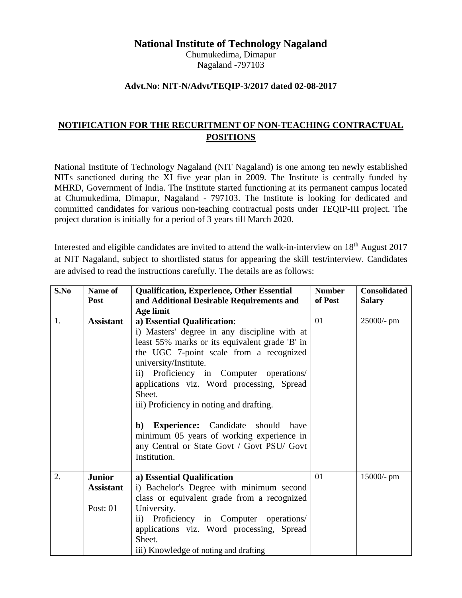# **National Institute of Technology Nagaland**

Chumukedima, Dimapur Nagaland -797103

### **Advt.No: NIT-N/Advt/TEQIP-3/2017 dated 02-08-2017**

# **NOTIFICATION FOR THE RECURITMENT OF NON-TEACHING CONTRACTUAL POSITIONS**

National Institute of Technology Nagaland (NIT Nagaland) is one among ten newly established NITs sanctioned during the XI five year plan in 2009. The Institute is centrally funded by MHRD, Government of India. The Institute started functioning at its permanent campus located at Chumukedima, Dimapur, Nagaland - 797103. The Institute is looking for dedicated and committed candidates for various non-teaching contractual posts under TEQIP-III project. The project duration is initially for a period of 3 years till March 2020.

Interested and eligible candidates are invited to attend the walk-in-interview on 18<sup>th</sup> August 2017 at NIT Nagaland, subject to shortlisted status for appearing the skill test/interview. Candidates are advised to read the instructions carefully. The details are as follows:

| S.No | Name of          | <b>Qualification, Experience, Other Essential</b>                                                                                                                 | <b>Number</b> | <b>Consolidated</b> |
|------|------------------|-------------------------------------------------------------------------------------------------------------------------------------------------------------------|---------------|---------------------|
|      | <b>Post</b>      | and Additional Desirable Requirements and                                                                                                                         | of Post       | <b>Salary</b>       |
|      |                  | Age limit                                                                                                                                                         |               |                     |
| 1.   | <b>Assistant</b> | a) Essential Qualification:                                                                                                                                       | 01            | 25000/- pm          |
|      |                  | i) Masters' degree in any discipline with at                                                                                                                      |               |                     |
|      |                  | least 55% marks or its equivalent grade 'B' in                                                                                                                    |               |                     |
|      |                  | the UGC 7-point scale from a recognized                                                                                                                           |               |                     |
|      |                  | university/Institute.                                                                                                                                             |               |                     |
|      |                  | ii) Proficiency in Computer operations/                                                                                                                           |               |                     |
|      |                  | applications viz. Word processing, Spread                                                                                                                         |               |                     |
|      |                  | Sheet.                                                                                                                                                            |               |                     |
|      |                  | iii) Proficiency in noting and drafting.                                                                                                                          |               |                     |
|      |                  | <b>b</b> ) <b>Experience:</b> Candidate should<br>have<br>minimum 05 years of working experience in<br>any Central or State Govt / Govt PSU/ Govt<br>Institution. |               |                     |
|      |                  |                                                                                                                                                                   |               |                     |
| 2.   | <b>Junior</b>    | a) Essential Qualification                                                                                                                                        | 01            | $15000/-$ pm        |
|      | <b>Assistant</b> | i) Bachelor's Degree with minimum second                                                                                                                          |               |                     |
|      |                  | class or equivalent grade from a recognized                                                                                                                       |               |                     |
|      | Post: $01$       | University.                                                                                                                                                       |               |                     |
|      |                  | ii) Proficiency in Computer operations/                                                                                                                           |               |                     |
|      |                  | applications viz. Word processing, Spread                                                                                                                         |               |                     |
|      |                  | Sheet.                                                                                                                                                            |               |                     |
|      |                  | iii) Knowledge of noting and drafting                                                                                                                             |               |                     |